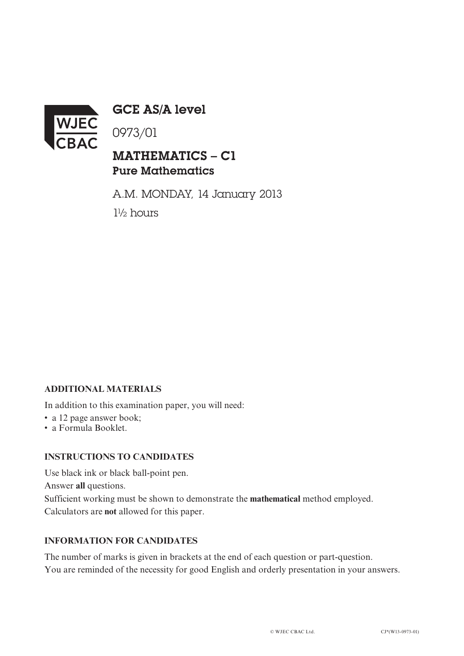

GCE AS/A level

0973/01

# MATHEMATICS – C1 Pure Mathematics

A.M. MONDAY, 14 January 2013 1½ hours

## **ADDITIONAL MATERIALS**

In addition to this examination paper, you will need:

- a 12 page answer book;
- a Formula Booklet.

### **INSTRUCTIONS TO CANDIDATES**

Use black ink or black ball-point pen. Answer **all** questions. Sufficient working must be shown to demonstrate the **mathematical** method employed. Calculators are **not** allowed for this paper.

### **INFORMATION FOR CANDIDATES**

The number of marks is given in brackets at the end of each question or part-question. You are reminded of the necessity for good English and orderly presentation in your answers.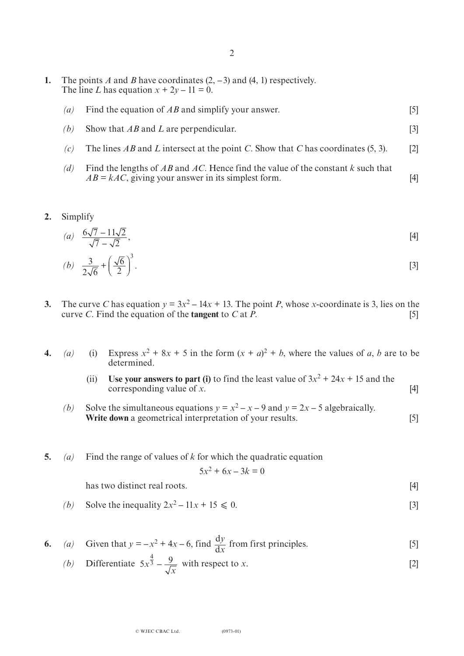- **1.** The points *A* and *B* have coordinates (2, **–**3) and (4, 1) respectively. The line *L* has equation  $x + 2y - 11 = 0$ .
	- *(a)* Find the equation of *AB* and simplify your answer. [5]
	- *(b)* Show that *AB* and *L* are perpendicular. [3]
	- *(c)* The lines *AB* and *L* intersect at the point *C*. Show that *C* has coordinates (5, 3). [2]
	- *(d)* Find the lengths of *AB* and *AC*. Hence find the value of the constant *k* such that  $AB = kAC$ , giving your answer in its simplest form. [4]
- **2.** Simplify

(a) 
$$
\frac{6\sqrt{7} - 11\sqrt{2}}{\sqrt{7} - \sqrt{2}}
$$
, [4]

$$
(b) \quad \frac{3}{2\sqrt{6}} + \left(\frac{\sqrt{6}}{2}\right)^3. \tag{3}
$$

- **3.** The curve *C* has equation  $y = 3x^2 14x + 13$ . The point *P*, whose *x*-coordinate is 3, lies on the curve *C*. Find the equation of the **tangent** to *C* at  $\overline{P}$ . [5]
- **4.** *(a)* (i) Express  $x^2 + 8x + 5$  in the form  $(x + a)^2 + b$ , where the values of *a*, *b* are to be determined.
	- (ii) Use your answers to part (i) to find the least value of  $3x^2 + 24x + 15$  and the corresponding value of *x*. [4]
	- *(b)* Solve the simultaneous equations  $y = x^2 x 9$  and  $y = 2x 5$  algebraically. **Write down** a geometrical interpretation of your results. [5]
- **5.** *(a)* Find the range of values of *k* for which the quadratic equation

$$
5x^2 + 6x - 3k = 0
$$

has two distinct real roots. [4]

*(b)* Solve the inequality  $2x^2 - 11x + 15 \le 0$ . [3]

6. (a) Given that 
$$
y = -x^2 + 4x - 6
$$
, find  $\frac{dy}{dx}$  from first principles. [5]

(b) Differentiate 
$$
5x^{\frac{4}{3}} - \frac{9}{\sqrt{x}}
$$
 with respect to x. [2]